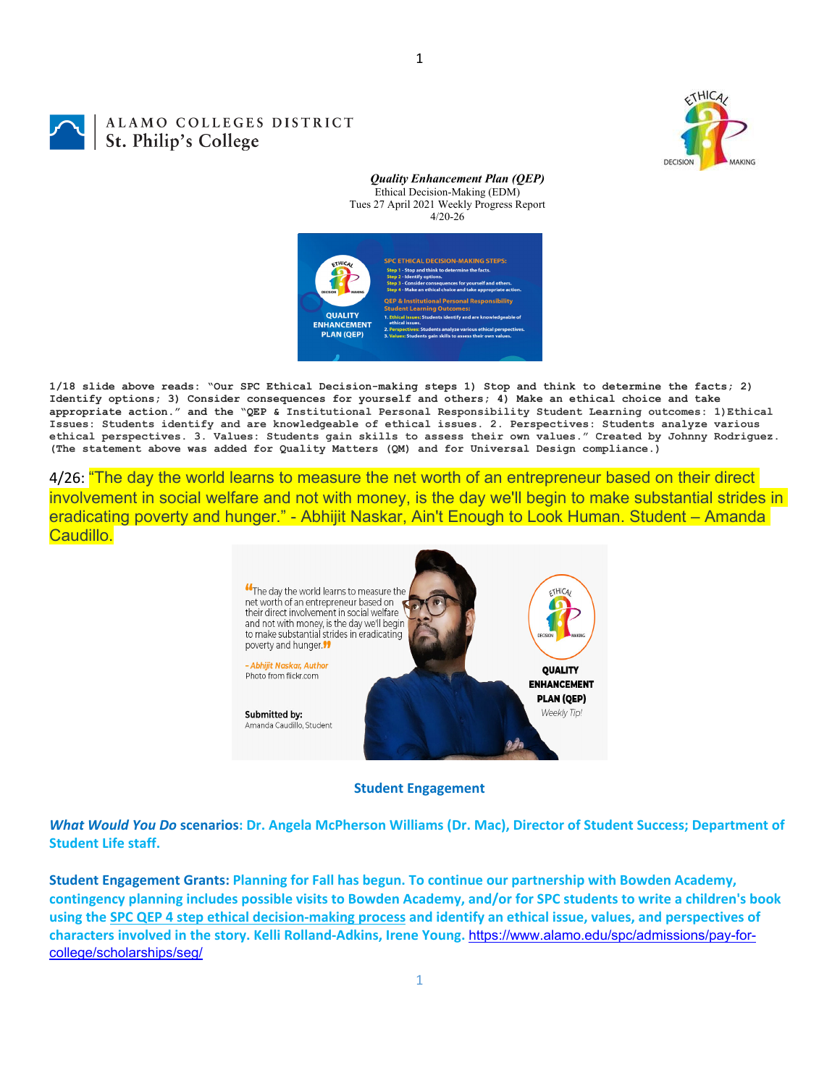

# ALAMO COLLEGES DISTRICT St. Philip's College

*Quality Enhancement Plan (QEP)* Ethical Decision-Making (EDM) Tues 27 April 2021 Weekly Progress Report 4/20-26



**1/18 slide above reads: "Our SPC Ethical Decision-making steps 1) Stop and think to determine the facts; 2) Identify options; 3) Consider consequences for yourself and others; 4) Make an ethical choice and take appropriate action." and the "QEP & Institutional Personal Responsibility Student Learning outcomes: 1)Ethical Issues: Students identify and are knowledgeable of ethical issues. 2. Perspectives: Students analyze various ethical perspectives. 3. Values: Students gain skills to assess their own values." Created by Johnny Rodriguez. (The statement above was added for Quality Matters (QM) and for Universal Design compliance.)**

4/26: "The day the world learns to measure the net worth of an entrepreneur based on their direct involvement in social welfare and not with money, is the day we'll begin to make substantial strides in eradicating poverty and hunger." - Abhijit Naskar, Ain't Enough to Look Human. Student – Amanda Caudillo.



## **Student Engagement**

What Would You Do scenarios: Dr. Angela McPherson Williams (Dr. Mac), Director of Student Success; Department of **Student Life staff.**

**Student Engagement Grants: Planning for Fall has begun. To continue our partnership with Bowden Academy,** contingency planning includes possible visits to Bowden Academy, and/or for SPC students to write a children's book using the SPC QEP 4 step ethical decision-making process and identify an ethical issue, values, and perspectives of **characters involved in the story. Kelli Rolland‐Adkins, Irene Young.** https://www.alamo.edu/spc/admissions/pay-forcollege/scholarships/seg/

1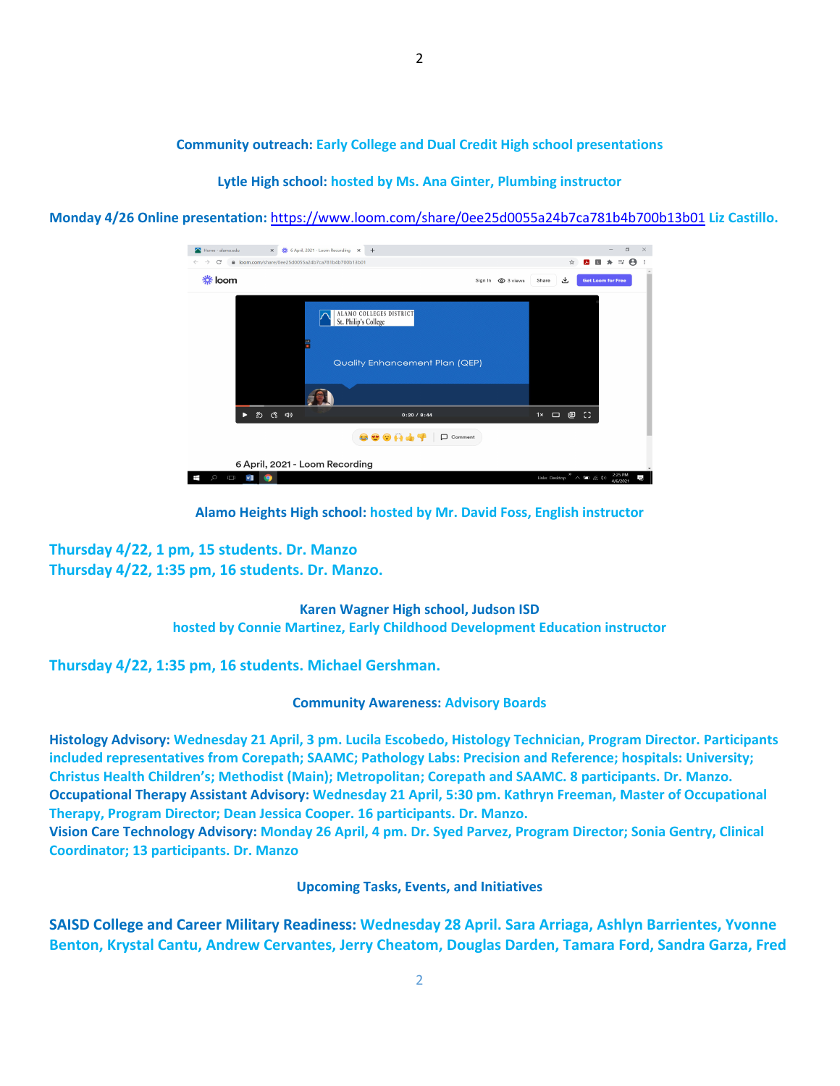**Community outreach: Early College and Dual Credit High school presentations**

**Lytle High school: hosted by Ms. Ana Ginter, Plumbing instructor**

**Monday 4/26 Online presentation:** https://www.loom.com/share/0ee25d0055a24b7ca781b4b700b13b01 **Liz Castillo.**

| 卷 6 April 2021 - Loom Recording X +<br>N Home - alamo.edu<br>$\times$               |                                                                                          |                                            | $\times$<br>$\Box$        |
|-------------------------------------------------------------------------------------|------------------------------------------------------------------------------------------|--------------------------------------------|---------------------------|
| $\mathcal{C}$<br>● loom.com/share/0ee25d0055a24b7ca781b4b700b13b01<br>$\rightarrow$ |                                                                                          | ☆                                          | Θ<br>E                    |
| <b> 卷 loom</b>                                                                      |                                                                                          | 也<br>Sign In @ 3 views<br>Share            | <b>Get Loom for Free</b>  |
| Ħ                                                                                   | <b>ALAMO COLLEGES DISTRICT</b><br>St. Philip's College<br>Quality Enhancement Plan (QEP) |                                            |                           |
|                                                                                     |                                                                                          |                                            |                           |
| 豹、心、中<br>D                                                                          | 0:20/8:44                                                                                | $\Box$ $\blacksquare$ $\Box$<br>$1 \times$ |                           |
| 800H44<br>□ Comment                                                                 |                                                                                          |                                            |                           |
| 6 April, 2021 - Loom Recording                                                      |                                                                                          |                                            |                           |
| Ω<br>$\Box$<br>Ŧ<br>w<br><b>10</b>                                                  |                                                                                          | Links Desktop $\sim$ 900 (6.4%)            | 2:25 PM<br>F.<br>4/6/2021 |

**Alamo Heights High school: hosted by Mr. David Foss, English instructor**

**Thursday 4/22, 1 pm, 15 students. Dr. Manzo Thursday 4/22, 1:35 pm, 16 students. Dr. Manzo.**

> **Karen Wagner High school, Judson ISD hosted by Connie Martinez, Early Childhood Development Education instructor**

**Thursday 4/22, 1:35 pm, 16 students. Michael Gershman.**

### **Community Awareness: Advisory Boards**

**Histology Advisory: Wednesday 21 April, 3 pm. Lucila Escobedo, Histology Technician, Program Director. Participants included representatives from Corepath; SAAMC; Pathology Labs: Precision and Reference; hospitals: University; Christus Health Children's; Methodist (Main); Metropolitan; Corepath and SAAMC. 8 participants. Dr. Manzo. Occupational Therapy Assistant Advisory: Wednesday 21 April, 5:30 pm. Kathryn Freeman, Master of Occupational Therapy, Program Director; Dean Jessica Cooper. 16 participants. Dr. Manzo.** Vision Care Technology Advisory: Monday 26 April, 4 pm. Dr. Syed Parvez, Program Director; Sonia Gentry, Clinical

**Coordinator; 13 participants. Dr. Manzo**

**Upcoming Tasks, Events, and Initiatives**

**SAISD College and Career Military Readiness: Wednesday 28 April. Sara Arriaga, Ashlyn Barrientes, Yvonne Benton, Krystal Cantu, Andrew Cervantes, Jerry Cheatom, Douglas Darden, Tamara Ford, Sandra Garza, Fred**